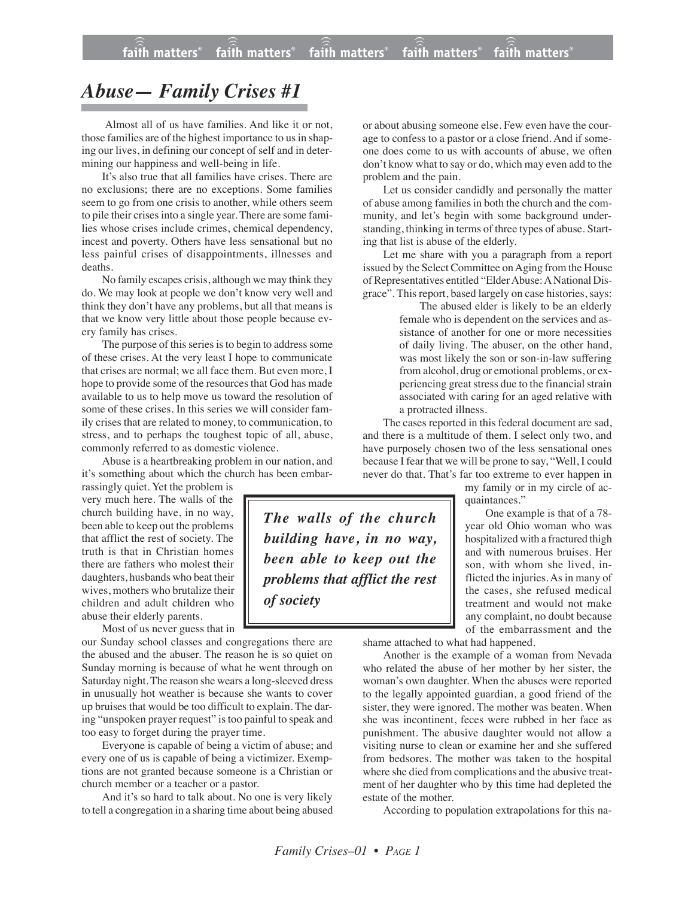## *Abuse— Family Crises #1*

Almost all of us have families. And like it or not, those families are of the highest importance to us in shaping our lives, in defining our concept of self and in determining our happiness and well-being in life.

It's also true that all families have crises. There are no exclusions; there are no exceptions. Some families seem to go from one crisis to another, while others seem to pile their crises into a single year. There are some families whose crises include crimes, chemical dependency, incest and poverty. Others have less sensational but no less painful crises of disappointments, illnesses and deaths.

No family escapes crisis, although we may think they do. We may look at people we don't know very well and think they don't have any problems, but all that means is that we know very little about those people because every family has crises.

The purpose of this series is to begin to address some of these crises. At the very least I hope to communicate that crises are normal; we all face them. But even more, I hope to provide some of the resources that God has made available to us to help move us toward the resolution of some of these crises. In this series we will consider family crises that are related to money, to communication, to stress, and to perhaps the toughest topic of all, abuse, commonly referred to as domestic violence.

Abuse is a heartbreaking problem in our nation, and it's something about which the church has been embar-

rassingly quiet. Yet the problem is very much here. The walls of the church building have, in no way, been able to keep out the problems that afflict the rest of society. The truth is that in Christian homes there are fathers who molest their daughters, husbands who beat their wives, mothers who brutalize their children and adult children who abuse their elderly parents.

Most of us never guess that in

our Sunday school classes and congregations there are the abused and the abuser. The reason he is so quiet on Sunday morning is because of what he went through on Saturday night. The reason she wears a long-sleeved dress in unusually hot weather is because she wants to cover up bruises that would be too difficult to explain. The daring "unspoken prayer request" is too painful to speak and too easy to forget during the prayer time.

Everyone is capable of being a victim of abuse; and every one of us is capable of being a victimizer. Exemptions are not granted because someone is a Christian or church member or a teacher or a pastor.

And it's so hard to talk about. No one is very likely to tell a congregation in a sharing time about being abused

or about abusing someone else. Few even have the courage to confess to a pastor or a close friend. And if someone does come to us with accounts of abuse, we often don't know what to say or do, which may even add to the problem and the pain.

Let us consider candidly and personally the matter of abuse among families in both the church and the community, and let's begin with some background understanding, thinking in terms of three types of abuse. Starting that list is abuse of the elderly.

Let me share with you a paragraph from a report issued by the Select Committee on Aging from the House of Representatives entitled "ElderAbuse: A National Disgrace". This report, based largely on case histories, says:

> The abused elder is likely to be an elderly female who is dependent on the services and assistance of another for one or more necessities of daily living. The abuser, on the other hand, was most likely the son or son-in-law suffering from alcohol, drug or emotional problems, or experiencing great stress due to the financial strain associated with caring for an aged relative with a protracted illness.

The cases reported in this federal document are sad, and there is a multitude of them. I select only two, and have purposely chosen two of the less sensational ones because I fear that we will be prone to say, "Well, I could never do that. That's far too extreme to ever happen in

*The walls of the church building have, in no way, been able to keep out the problems that afflict the rest of society*

quaintances." One example is that of a 78-

my family or in my circle of ac-

year old Ohio woman who was hospitalized with a fractured thigh and with numerous bruises. Her son, with whom she lived, inflicted the injuries. As in many of the cases, she refused medical treatment and would not make any complaint, no doubt because of the embarrassment and the

shame attached to what had happened.

Another is the example of a woman from Nevada who related the abuse of her mother by her sister, the woman's own daughter. When the abuses were reported to the legally appointed guardian, a good friend of the sister, they were ignored. The mother was beaten. When she was incontinent, feces were rubbed in her face as punishment. The abusive daughter would not allow a visiting nurse to clean or examine her and she suffered from bedsores. The mother was taken to the hospital where she died from complications and the abusive treatment of her daughter who by this time had depleted the estate of the mother.

According to population extrapolations for this na-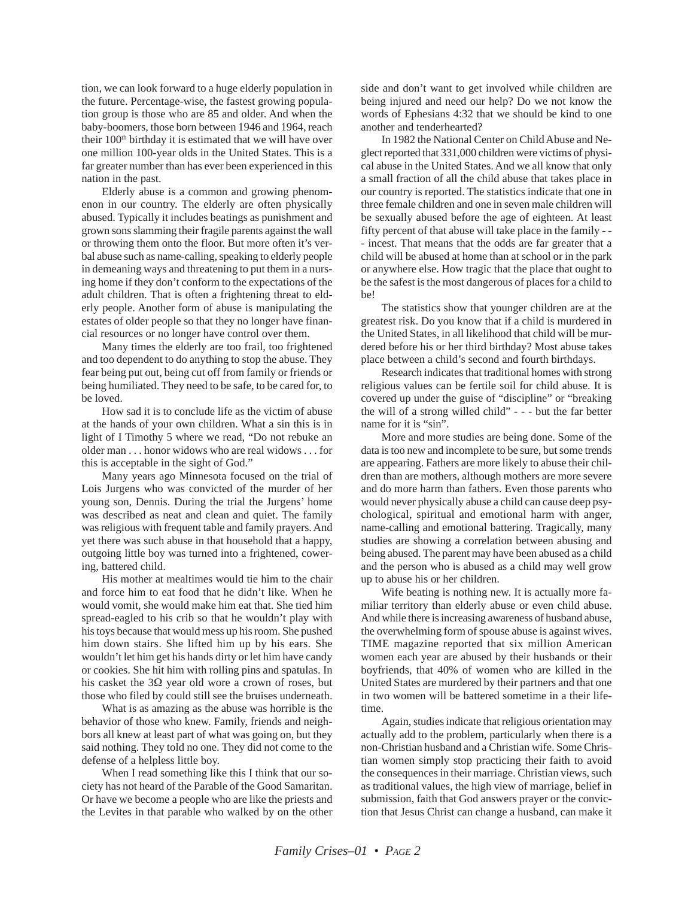tion, we can look forward to a huge elderly population in the future. Percentage-wise, the fastest growing population group is those who are 85 and older. And when the baby-boomers, those born between 1946 and 1964, reach their 100<sup>th</sup> birthday it is estimated that we will have over one million 100-year olds in the United States. This is a far greater number than has ever been experienced in this nation in the past.

Elderly abuse is a common and growing phenomenon in our country. The elderly are often physically abused. Typically it includes beatings as punishment and grown sons slamming their fragile parents against the wall or throwing them onto the floor. But more often it's verbal abuse such as name-calling, speaking to elderly people in demeaning ways and threatening to put them in a nursing home if they don't conform to the expectations of the adult children. That is often a frightening threat to elderly people. Another form of abuse is manipulating the estates of older people so that they no longer have financial resources or no longer have control over them.

Many times the elderly are too frail, too frightened and too dependent to do anything to stop the abuse. They fear being put out, being cut off from family or friends or being humiliated. They need to be safe, to be cared for, to be loved.

How sad it is to conclude life as the victim of abuse at the hands of your own children. What a sin this is in light of I Timothy 5 where we read, "Do not rebuke an older man . . . honor widows who are real widows . . . for this is acceptable in the sight of God."

Many years ago Minnesota focused on the trial of Lois Jurgens who was convicted of the murder of her young son, Dennis. During the trial the Jurgens' home was described as neat and clean and quiet. The family was religious with frequent table and family prayers. And yet there was such abuse in that household that a happy, outgoing little boy was turned into a frightened, cowering, battered child.

His mother at mealtimes would tie him to the chair and force him to eat food that he didn't like. When he would vomit, she would make him eat that. She tied him spread-eagled to his crib so that he wouldn't play with his toys because that would mess up his room. She pushed him down stairs. She lifted him up by his ears. She wouldn't let him get his hands dirty or let him have candy or cookies. She hit him with rolling pins and spatulas. In his casket the  $3\Omega$  year old wore a crown of roses, but those who filed by could still see the bruises underneath.

What is as amazing as the abuse was horrible is the behavior of those who knew. Family, friends and neighbors all knew at least part of what was going on, but they said nothing. They told no one. They did not come to the defense of a helpless little boy.

When I read something like this I think that our society has not heard of the Parable of the Good Samaritan. Or have we become a people who are like the priests and the Levites in that parable who walked by on the other side and don't want to get involved while children are being injured and need our help? Do we not know the words of Ephesians 4:32 that we should be kind to one another and tenderhearted?

In 1982 the National Center on Child Abuse and Neglect reported that 331,000 children were victims of physical abuse in the United States. And we all know that only a small fraction of all the child abuse that takes place in our country is reported. The statistics indicate that one in three female children and one in seven male children will be sexually abused before the age of eighteen. At least fifty percent of that abuse will take place in the family - - - incest. That means that the odds are far greater that a child will be abused at home than at school or in the park or anywhere else. How tragic that the place that ought to be the safest is the most dangerous of places for a child to be!

The statistics show that younger children are at the greatest risk. Do you know that if a child is murdered in the United States, in all likelihood that child will be murdered before his or her third birthday? Most abuse takes place between a child's second and fourth birthdays.

Research indicates that traditional homes with strong religious values can be fertile soil for child abuse. It is covered up under the guise of "discipline" or "breaking the will of a strong willed child" - - - but the far better name for it is "sin".

More and more studies are being done. Some of the data is too new and incomplete to be sure, but some trends are appearing. Fathers are more likely to abuse their children than are mothers, although mothers are more severe and do more harm than fathers. Even those parents who would never physically abuse a child can cause deep psychological, spiritual and emotional harm with anger, name-calling and emotional battering. Tragically, many studies are showing a correlation between abusing and being abused. The parent may have been abused as a child and the person who is abused as a child may well grow up to abuse his or her children.

Wife beating is nothing new. It is actually more familiar territory than elderly abuse or even child abuse. And while there is increasing awareness of husband abuse, the overwhelming form of spouse abuse is against wives. TIME magazine reported that six million American women each year are abused by their husbands or their boyfriends, that 40% of women who are killed in the United States are murdered by their partners and that one in two women will be battered sometime in a their lifetime.

Again, studies indicate that religious orientation may actually add to the problem, particularly when there is a non-Christian husband and a Christian wife. Some Christian women simply stop practicing their faith to avoid the consequences in their marriage. Christian views, such as traditional values, the high view of marriage, belief in submission, faith that God answers prayer or the conviction that Jesus Christ can change a husband, can make it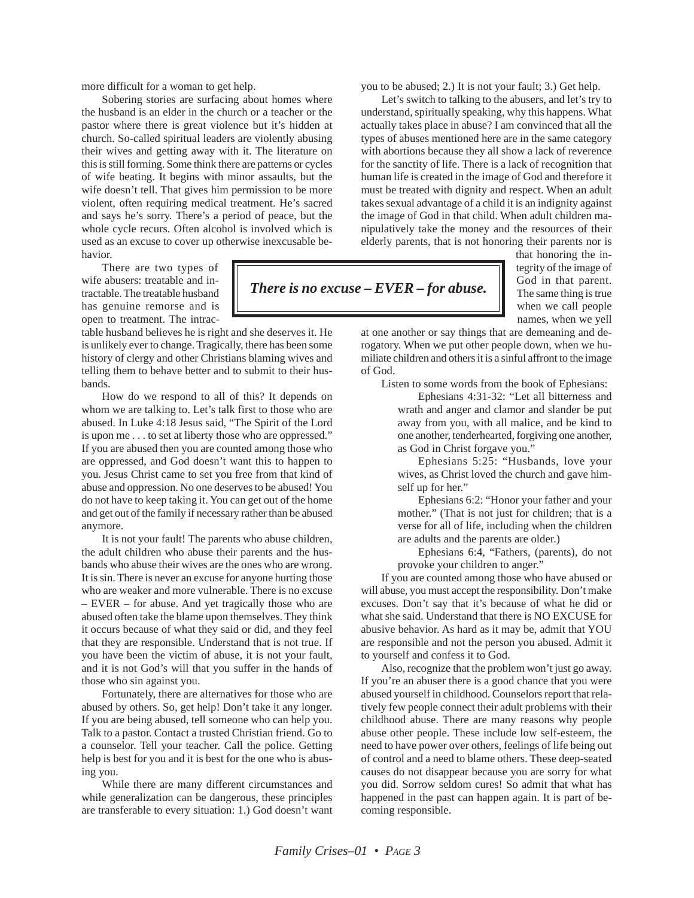more difficult for a woman to get help.

Sobering stories are surfacing about homes where the husband is an elder in the church or a teacher or the pastor where there is great violence but it's hidden at church. So-called spiritual leaders are violently abusing their wives and getting away with it. The literature on this is still forming. Some think there are patterns or cycles of wife beating. It begins with minor assaults, but the wife doesn't tell. That gives him permission to be more violent, often requiring medical treatment. He's sacred and says he's sorry. There's a period of peace, but the whole cycle recurs. Often alcohol is involved which is used as an excuse to cover up otherwise inexcusable behavior.

There are two types of wife abusers: treatable and intractable. The treatable husband has genuine remorse and is open to treatment. The intrac-

table husband believes he is right and she deserves it. He is unlikely ever to change. Tragically, there has been some history of clergy and other Christians blaming wives and telling them to behave better and to submit to their husbands.

How do we respond to all of this? It depends on whom we are talking to. Let's talk first to those who are abused. In Luke 4:18 Jesus said, "The Spirit of the Lord is upon me . . . to set at liberty those who are oppressed." If you are abused then you are counted among those who are oppressed, and God doesn't want this to happen to you. Jesus Christ came to set you free from that kind of abuse and oppression. No one deserves to be abused! You do not have to keep taking it. You can get out of the home and get out of the family if necessary rather than be abused anymore.

It is not your fault! The parents who abuse children, the adult children who abuse their parents and the husbands who abuse their wives are the ones who are wrong. It is sin. There is never an excuse for anyone hurting those who are weaker and more vulnerable. There is no excuse – EVER – for abuse. And yet tragically those who are abused often take the blame upon themselves. They think it occurs because of what they said or did, and they feel that they are responsible. Understand that is not true. If you have been the victim of abuse, it is not your fault, and it is not God's will that you suffer in the hands of those who sin against you.

Fortunately, there are alternatives for those who are abused by others. So, get help! Don't take it any longer. If you are being abused, tell someone who can help you. Talk to a pastor. Contact a trusted Christian friend. Go to a counselor. Tell your teacher. Call the police. Getting help is best for you and it is best for the one who is abusing you.

While there are many different circumstances and while generalization can be dangerous, these principles are transferable to every situation: 1.) God doesn't want you to be abused; 2.) It is not your fault; 3.) Get help.

Let's switch to talking to the abusers, and let's try to understand, spiritually speaking, why this happens. What actually takes place in abuse? I am convinced that all the types of abuses mentioned here are in the same category with abortions because they all show a lack of reverence for the sanctity of life. There is a lack of recognition that human life is created in the image of God and therefore it must be treated with dignity and respect. When an adult takes sexual advantage of a child it is an indignity against the image of God in that child. When adult children manipulatively take the money and the resources of their elderly parents, that is not honoring their parents nor is

> that honoring the integrity of the image of God in that parent. The same thing is true when we call people names, when we yell

at one another or say things that are demeaning and derogatory. When we put other people down, when we humiliate children and others it is a sinful affront to the image of God.

*There is no excuse – EVER – for abuse.*

Listen to some words from the book of Ephesians:

Ephesians 4:31-32: "Let all bitterness and wrath and anger and clamor and slander be put away from you, with all malice, and be kind to one another, tenderhearted, forgiving one another, as God in Christ forgave you."

Ephesians 5:25: "Husbands, love your wives, as Christ loved the church and gave himself up for her."

Ephesians 6:2: "Honor your father and your mother." (That is not just for children; that is a verse for all of life, including when the children are adults and the parents are older.)

Ephesians 6:4, "Fathers, (parents), do not provoke your children to anger."

If you are counted among those who have abused or will abuse, you must accept the responsibility. Don't make excuses. Don't say that it's because of what he did or what she said. Understand that there is NO EXCUSE for abusive behavior. As hard as it may be, admit that YOU are responsible and not the person you abused. Admit it to yourself and confess it to God.

Also, recognize that the problem won't just go away. If you're an abuser there is a good chance that you were abused yourself in childhood. Counselors report that relatively few people connect their adult problems with their childhood abuse. There are many reasons why people abuse other people. These include low self-esteem, the need to have power over others, feelings of life being out of control and a need to blame others. These deep-seated causes do not disappear because you are sorry for what you did. Sorrow seldom cures! So admit that what has happened in the past can happen again. It is part of becoming responsible.